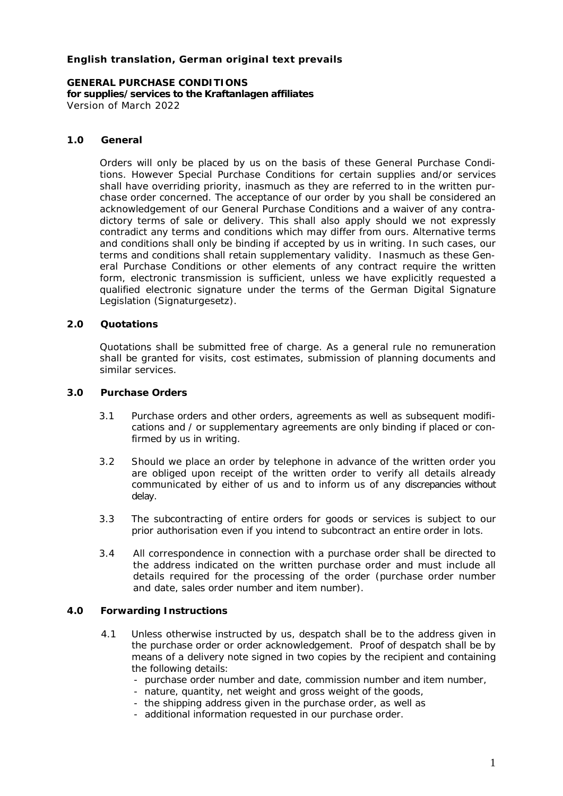# **English translation, German original text prevails**

**GENERAL PURCHASE CONDITIONS for supplies/services to the Kraftanlagen affiliates** Version of March 2022

## **1.0 General**

Orders will only be placed by us on the basis of these General Purchase Conditions. However Special Purchase Conditions for certain supplies and/or services shall have overriding priority, inasmuch as they are referred to in the written purchase order concerned. The acceptance of our order by you shall be considered an acknowledgement of our General Purchase Conditions and a waiver of any contradictory terms of sale or delivery. This shall also apply should we not expressly contradict any terms and conditions which may differ from ours. Alternative terms and conditions shall only be binding if accepted by us in writing. In such cases, our terms and conditions shall retain supplementary validity. Inasmuch as these General Purchase Conditions or other elements of any contract require the written form, electronic transmission is sufficient, unless we have explicitly requested a qualified electronic signature under the terms of the German Digital Signature Legislation (*Signaturgesetz*).

## **2.0 Quotations**

Quotations shall be submitted free of charge. As a general rule no remuneration shall be granted for visits, cost estimates, submission of planning documents and similar services.

- **3.0 Purchase Orders**
	- 3.1 Purchase orders and other orders, agreements as well as subsequent modifications and / or supplementary agreements are only binding if placed or confirmed by us in writing.
	- 3.2 Should we place an order by telephone in advance of the written order you are obliged upon receipt of the written order to verify all details already communicated by either of us and to inform us of any discrepancies without delay.
	- 3.3 The subcontracting of entire orders for goods or services is subject to our prior authorisation even if you intend to subcontract an entire order in lots.
	- 3.4 All correspondence in connection with a purchase order shall be directed to the address indicated on the written purchase order and must include all details required for the processing of the order (purchase order number and date, sales order number and item number).

## **4.0 Forwarding Instructions**

- 4.1 Unless otherwise instructed by us, despatch shall be to the address given in the purchase order or order acknowledgement. Proof of despatch shall be by means of a delivery note signed in two copies by the recipient and containing the following details:
	- purchase order number and date, commission number and item number,
	- nature, quantity, net weight and gross weight of the goods,
	- the shipping address given in the purchase order, as well as
	- additional information requested in our purchase order.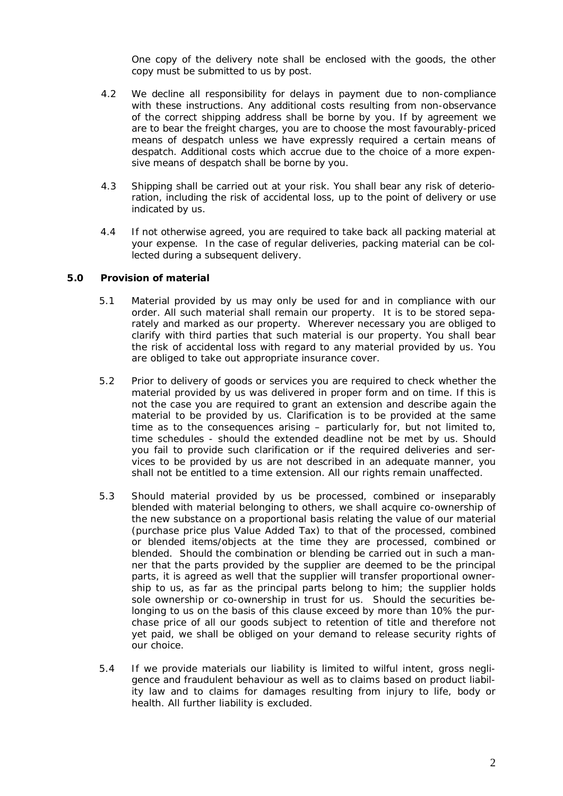One copy of the delivery note shall be enclosed with the goods, the other copy must be submitted to us by post.

- 4.2 We decline all responsibility for delays in payment due to non-compliance with these instructions. Any additional costs resulting from non-observance of the correct shipping address shall be borne by you. If by agreement we are to bear the freight charges, you are to choose the most favourably-priced means of despatch unless we have expressly required a certain means of despatch. Additional costs which accrue due to the choice of a more expensive means of despatch shall be borne by you.
- 4.3 Shipping shall be carried out at your risk. You shall bear any risk of deterioration, including the risk of accidental loss, up to the point of delivery or use indicated by us.
- 4.4 If not otherwise agreed, you are required to take back all packing material at your expense. In the case of regular deliveries, packing material can be collected during a subsequent delivery.
- **5.0 Provision of material**
	- 5.1 Material provided by us may only be used for and in compliance with our order. All such material shall remain our property. It is to be stored separately and marked as our property. Wherever necessary you are obliged to clarify with third parties that such material is our property. You shall bear the risk of accidental loss with regard to any material provided by us. You are obliged to take out appropriate insurance cover.
	- 5.2 Prior to delivery of goods or services you are required to check whether the material provided by us was delivered in proper form and on time. If this is not the case you are required to grant an extension and describe again the material to be provided by us. Clarification is to be provided at the same time as to the consequences arising – particularly for, but not limited to, time schedules - should the extended deadline not be met by us. Should you fail to provide such clarification or if the required deliveries and services to be provided by us are not described in an adequate manner, you shall not be entitled to a time extension. All our rights remain unaffected.
	- 5.3 Should material provided by us be processed, combined or inseparably blended with material belonging to others, we shall acquire co-ownership of the new substance on a proportional basis relating the value of our material (purchase price plus Value Added Tax) to that of the processed, combined or blended items/objects at the time they are processed, combined or blended. Should the combination or blending be carried out in such a manner that the parts provided by the supplier are deemed to be the principal parts, it is agreed as well that the supplier will transfer proportional ownership to us, as far as the principal parts belong to him; the supplier holds sole ownership or co-ownership in trust for us. Should the securities belonging to us on the basis of this clause exceed by more than 10% the purchase price of all our goods subject to retention of title and therefore not yet paid, we shall be obliged on your demand to release security rights of our choice.
	- 5.4 If we provide materials our liability is limited to wilful intent, gross negligence and fraudulent behaviour as well as to claims based on product liability law and to claims for damages resulting from injury to life, body or health. All further liability is excluded.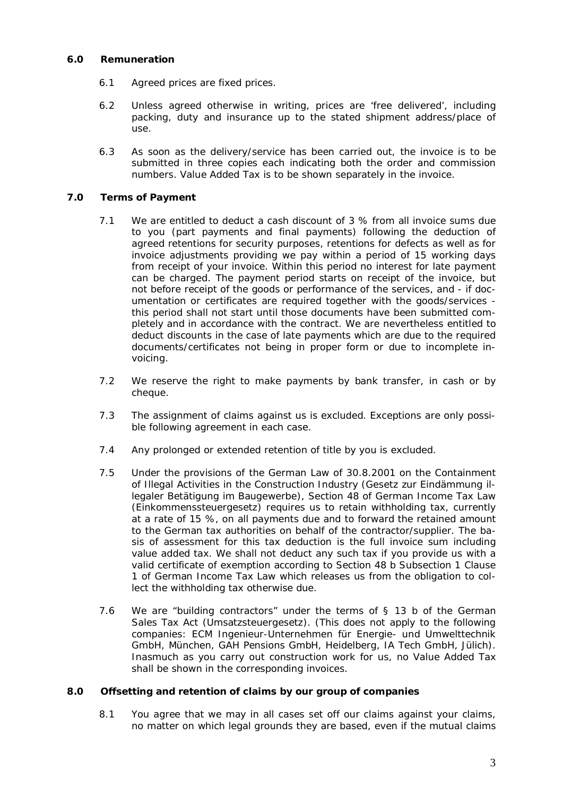### **6.0 Remuneration**

- 6.1 Agreed prices are fixed prices.
- 6.2 Unless agreed otherwise in writing, prices are 'free delivered', including packing, duty and insurance up to the stated shipment address/place of use.
- 6.3 As soon as the delivery/service has been carried out, the invoice is to be submitted in three copies each indicating both the order and commission numbers. Value Added Tax is to be shown separately in the invoice.
- **7.0 Terms of Payment**
	- 7.1 We are entitled to deduct a cash discount of 3 % from all invoice sums due to you (part payments and final payments) following the deduction of agreed retentions for security purposes, retentions for defects as well as for invoice adjustments providing we pay within a period of 15 working days from receipt of your invoice. Within this period no interest for late payment can be charged. The payment period starts on receipt of the invoice, but not before receipt of the goods or performance of the services, and - if documentation or certificates are required together with the goods/services this period shall not start until those documents have been submitted completely and in accordance with the contract. We are nevertheless entitled to deduct discounts in the case of late payments which are due to the required documents/certificates not being in proper form or due to incomplete invoicing.
	- 7.2 We reserve the right to make payments by bank transfer, in cash or by cheque.
	- 7.3 The assignment of claims against us is excluded. Exceptions are only possible following agreement in each case.
	- 7.4 Any prolonged or extended retention of title by you is excluded.
	- 7.5 Under the provisions of the German Law of 30.8.2001 on the Containment of Illegal Activities in the Construction Industry (*Gesetz zur Eindämmung illegaler Betätigung im Baugewerbe*), Section 48 of German Income Tax Law (*Einkommenssteuergesetz*) requires us to retain withholding tax, currently at a rate of 15 %, on all payments due and to forward the retained amount to the German tax authorities on behalf of the contractor/supplier. The basis of assessment for this tax deduction is the full invoice sum including value added tax. We shall not deduct any such tax if you provide us with a valid certificate of exemption according to Section 48 b Subsection 1 Clause 1 of German Income Tax Law which releases us from the obligation to collect the withholding tax otherwise due.
	- 7.6 We are "building contractors" under the terms of § 13 b of the German Sales Tax Act (*Umsatzsteuergesetz*). (This does not apply to the following companies: ECM Ingenieur-Unternehmen für Energie- und Umwelttechnik GmbH, München, GAH Pensions GmbH, Heidelberg, IA Tech GmbH, Jülich). Inasmuch as you carry out construction work for us, no Value Added Tax shall be shown in the corresponding invoices.
- **8.0 Offsetting and retention of claims by our group of companies**
	- 8.1 You agree that we may in all cases set off our claims against your claims, no matter on which legal grounds they are based, even if the mutual claims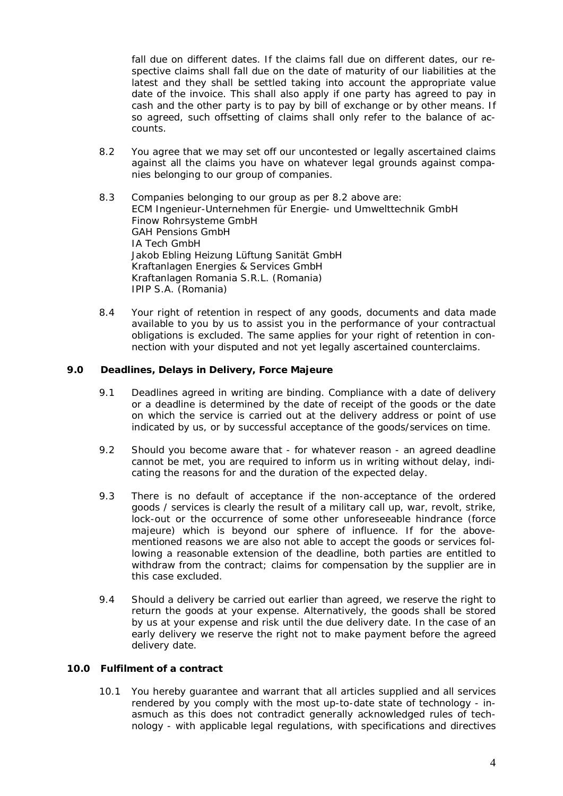fall due on different dates. If the claims fall due on different dates, our respective claims shall fall due on the date of maturity of our liabilities at the latest and they shall be settled taking into account the appropriate value date of the invoice. This shall also apply if one party has agreed to pay in cash and the other party is to pay by bill of exchange or by other means. If so agreed, such offsetting of claims shall only refer to the balance of accounts.

- 8.2 You agree that we may set off our uncontested or legally ascertained claims against all the claims you have on whatever legal grounds against companies belonging to our group of companies.
- 8.3 Companies belonging to our group as per 8.2 above are: ECM Ingenieur-Unternehmen für Energie- und Umwelttechnik GmbH Finow Rohrsysteme GmbH GAH Pensions GmbH IA Tech GmbH Jakob Ebling Heizung Lüftung Sanität GmbH Kraftanlagen Energies & Services GmbH Kraftanlagen Romania S.R.L. (Romania) IPIP S.A. (Romania)
- 8.4 Your right of retention in respect of any goods, documents and data made available to you by us to assist you in the performance of your contractual obligations is excluded. The same applies for your right of retention in connection with your disputed and not yet legally ascertained counterclaims.
- **9.0 Deadlines, Delays in Delivery, Force Majeure**
	- 9.1 Deadlines agreed in writing are binding. Compliance with a date of delivery or a deadline is determined by the date of receipt of the goods or the date on which the service is carried out at the delivery address or point of use indicated by us, or by successful acceptance of the goods/services on time.
	- 9.2 Should you become aware that for whatever reason an agreed deadline cannot be met, you are required to inform us in writing without delay, indicating the reasons for and the duration of the expected delay.
	- 9.3 There is no default of acceptance if the non-acceptance of the ordered goods / services is clearly the result of a military call up, war, revolt, strike, lock-out or the occurrence of some other unforeseeable hindrance (force majeure) which is beyond our sphere of influence. If for the abovementioned reasons we are also not able to accept the goods or services following a reasonable extension of the deadline, both parties are entitled to withdraw from the contract; claims for compensation by the supplier are in this case excluded.
	- 9.4 Should a delivery be carried out earlier than agreed, we reserve the right to return the goods at your expense. Alternatively, the goods shall be stored by us at your expense and risk until the due delivery date. In the case of an early delivery we reserve the right not to make payment before the agreed delivery date.
- **10.0 Fulfilment of a contract**
	- 10.1 You hereby guarantee and warrant that all articles supplied and all services rendered by you comply with the most up-to-date state of technology - inasmuch as this does not contradict generally acknowledged rules of technology - with applicable legal regulations, with specifications and directives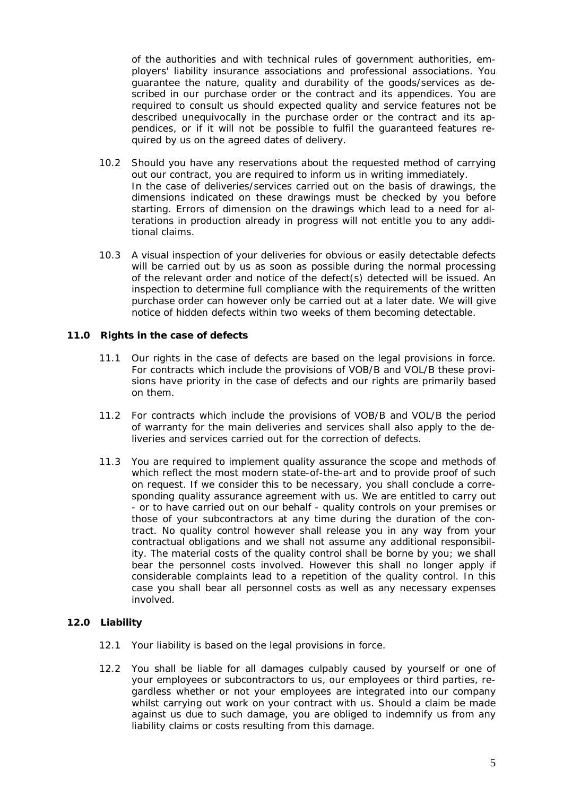of the authorities and with technical rules of government authorities, employers' liability insurance associations and professional associations. You guarantee the nature, quality and durability of the goods/services as described in our purchase order or the contract and its appendices. You are required to consult us should expected quality and service features not be described unequivocally in the purchase order or the contract and its appendices, or if it will not be possible to fulfil the guaranteed features required by us on the agreed dates of delivery.

- 10.2 Should you have any reservations about the requested method of carrying out our contract, you are required to inform us in writing immediately. In the case of deliveries/services carried out on the basis of drawings, the dimensions indicated on these drawings must be checked by you before starting. Errors of dimension on the drawings which lead to a need for alterations in production already in progress will not entitle you to any additional claims.
- 10.3 A visual inspection of your deliveries for obvious or easily detectable defects will be carried out by us as soon as possible during the normal processing of the relevant order and notice of the defect(s) detected will be issued. An inspection to determine full compliance with the requirements of the written purchase order can however only be carried out at a later date. We will give notice of hidden defects within two weeks of them becoming detectable.
- **11.0 Rights in the case of defects**
	- 11.1 Our rights in the case of defects are based on the legal provisions in force. For contracts which include the provisions of VOB/B and VOL/B these provisions have priority in the case of defects and our rights are primarily based on them.
	- 11.2 For contracts which include the provisions of VOB/B and VOL/B the period of warranty for the main deliveries and services shall also apply to the deliveries and services carried out for the correction of defects.
	- 11.3 You are required to implement quality assurance the scope and methods of which reflect the most modern state-of-the-art and to provide proof of such on request. If we consider this to be necessary, you shall conclude a corresponding quality assurance agreement with us. We are entitled to carry out - or to have carried out on our behalf - quality controls on your premises or those of your subcontractors at any time during the duration of the contract. No quality control however shall release you in any way from your contractual obligations and we shall not assume any additional responsibility. The material costs of the quality control shall be borne by you; we shall bear the personnel costs involved. However this shall no longer apply if considerable complaints lead to a repetition of the quality control. In this case you shall bear all personnel costs as well as any necessary expenses involved.
- **12.0 Liability**
	- 12.1 Your liability is based on the legal provisions in force.
	- 12.2 You shall be liable for all damages culpably caused by yourself or one of your employees or subcontractors to us, our employees or third parties, regardless whether or not your employees are integrated into our company whilst carrying out work on your contract with us. Should a claim be made against us due to such damage, you are obliged to indemnify us from any liability claims or costs resulting from this damage.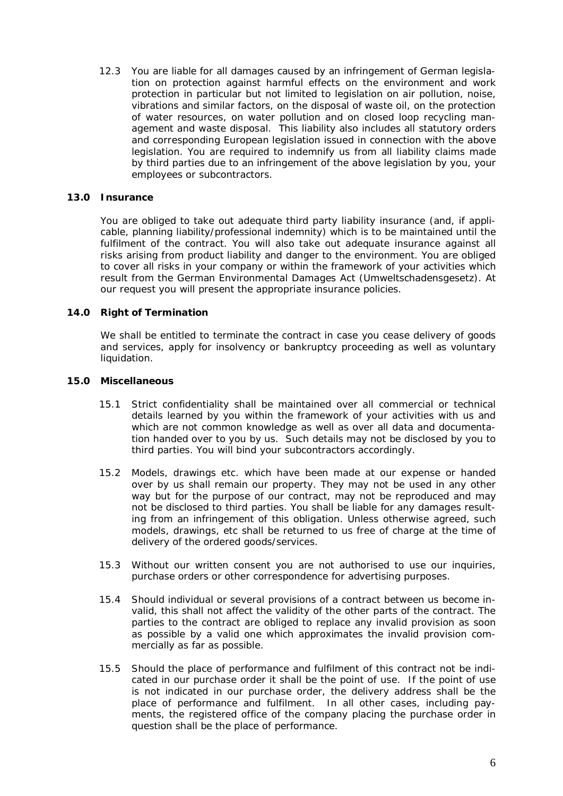12.3 You are liable for all damages caused by an infringement of German legislation on protection against harmful effects on the environment and work protection in particular but not limited to legislation on air pollution, noise, vibrations and similar factors, on the disposal of waste oil, on the protection of water resources, on water pollution and on closed loop recycling management and waste disposal. This liability also includes all statutory orders and corresponding European legislation issued in connection with the above legislation. You are required to indemnify us from all liability claims made by third parties due to an infringement of the above legislation by you, your employees or subcontractors.

## **13.0 Insurance**

You are obliged to take out adequate third party liability insurance (and, if applicable, planning liability/professional indemnity) which is to be maintained until the fulfilment of the contract. You will also take out adequate insurance against all risks arising from product liability and danger to the environment. You are obliged to cover all risks in your company or within the framework of your activities which result from the German Environmental Damages Act (*Umweltschadensgesetz*). At our request you will present the appropriate insurance policies.

#### **14.0 Right of Termination**

We shall be entitled to terminate the contract in case you cease delivery of goods and services, apply for insolvency or bankruptcy proceeding as well as voluntary liquidation.

- **15.0 Miscellaneous**
	- 15.1 Strict confidentiality shall be maintained over all commercial or technical details learned by you within the framework of your activities with us and which are not common knowledge as well as over all data and documentation handed over to you by us. Such details may not be disclosed by you to third parties. You will bind your subcontractors accordingly.
	- 15.2 Models, drawings etc. which have been made at our expense or handed over by us shall remain our property. They may not be used in any other way but for the purpose of our contract, may not be reproduced and may not be disclosed to third parties. You shall be liable for any damages resulting from an infringement of this obligation. Unless otherwise agreed, such models, drawings, etc shall be returned to us free of charge at the time of delivery of the ordered goods/services.
	- 15.3 Without our written consent you are not authorised to use our inquiries, purchase orders or other correspondence for advertising purposes.
	- 15.4 Should individual or several provisions of a contract between us become invalid, this shall not affect the validity of the other parts of the contract. The parties to the contract are obliged to replace any invalid provision as soon as possible by a valid one which approximates the invalid provision commercially as far as possible.
	- 15.5 Should the place of performance and fulfilment of this contract not be indicated in our purchase order it shall be the point of use. If the point of use is not indicated in our purchase order, the delivery address shall be the place of performance and fulfilment. In all other cases, including payments, the registered office of the company placing the purchase order in question shall be the place of performance.